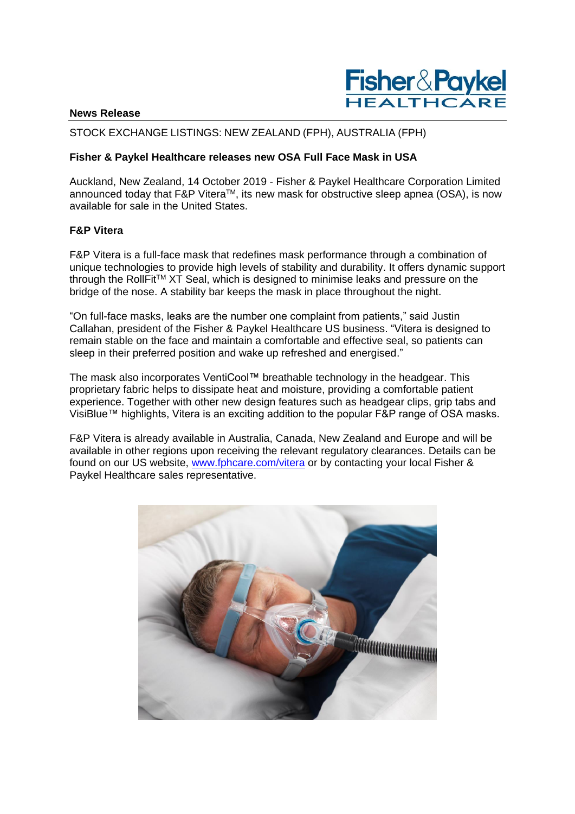

### **News Release**

## STOCK EXCHANGE LISTINGS: NEW ZEALAND (FPH), AUSTRALIA (FPH)

## **Fisher & Paykel Healthcare releases new OSA Full Face Mask in USA**

Auckland, New Zealand, 14 October 2019 - Fisher & Paykel Healthcare Corporation Limited announced today that F&P Vitera™, its new mask for obstructive sleep apnea (OSA), is now available for sale in the United States.

## **F&P Vitera**

F&P Vitera is a full-face mask that redefines mask performance through a combination of unique technologies to provide high levels of stability and durability. It offers dynamic support through the RollFitTM XT Seal, which is designed to minimise leaks and pressure on the bridge of the nose. A stability bar keeps the mask in place throughout the night.

"On full-face masks, leaks are the number one complaint from patients," said Justin Callahan, president of the Fisher & Paykel Healthcare US business. "Vitera is designed to remain stable on the face and maintain a comfortable and effective seal, so patients can sleep in their preferred position and wake up refreshed and energised."

The mask also incorporates VentiCool™ breathable technology in the headgear. This proprietary fabric helps to dissipate heat and moisture, providing a comfortable patient experience. Together with other new design features such as headgear clips, grip tabs and VisiBlue™ highlights, Vitera is an exciting addition to the popular F&P range of OSA masks.

F&P Vitera is already available in Australia, Canada, New Zealand and Europe and will be available in other regions upon receiving the relevant regulatory clearances. Details can be found on our US website, [www.fphcare.com/vitera](http://www.fphcare.com/vitera) or by contacting your local Fisher & Paykel Healthcare sales representative.